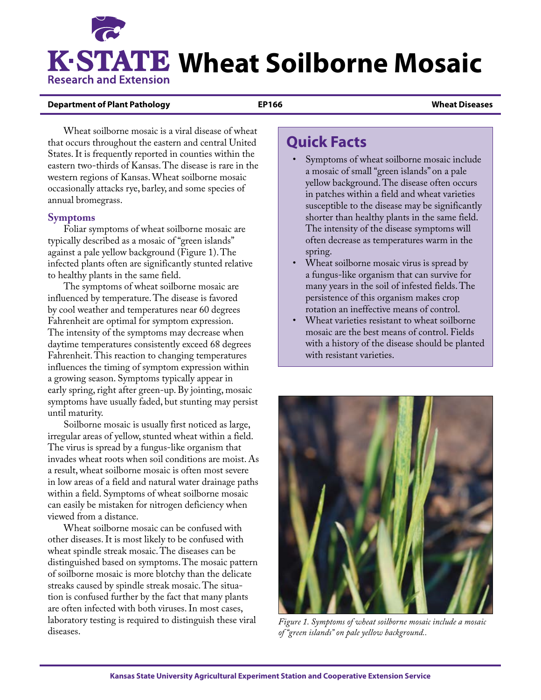# **K-STATE Wheat Soilborne Mosaic Research and Extension**

#### **Department of Plant Pathology EP166 Wheat Diseases**

Wheat soilborne mosaic is a viral disease of wheat that occurs throughout the eastern and central United States. It is frequently reported in counties within the eastern two-thirds of Kansas. The disease is rare in the western regions of Kansas. Wheat soilborne mosaic occasionally attacks rye, barley, and some species of annual bromegrass.

### **Symptoms**

Foliar symptoms of wheat soilborne mosaic are typically described as a mosaic of "green islands" against a pale yellow background (Figure 1). The infected plants often are significantly stunted relative to healthy plants in the same field.

The symptoms of wheat soilborne mosaic are influenced by temperature. The disease is favored by cool weather and temperatures near 60 degrees Fahrenheit are optimal for symptom expression. The intensity of the symptoms may decrease when daytime temperatures consistently exceed 68 degrees Fahrenheit. This reaction to changing temperatures influences the timing of symptom expression within a growing season. Symptoms typically appear in early spring, right after green-up. By jointing, mosaic symptoms have usually faded, but stunting may persist until maturity.

Soilborne mosaic is usually first noticed as large, irregular areas of yellow, stunted wheat within a field. The virus is spread by a fungus-like organism that invades wheat roots when soil conditions are moist. As a result, wheat soilborne mosaic is often most severe in low areas of a field and natural water drainage paths within a field. Symptoms of wheat soilborne mosaic can easily be mistaken for nitrogen deficiency when viewed from a distance.

Wheat soilborne mosaic can be confused with other diseases. It is most likely to be confused with wheat spindle streak mosaic. The diseases can be distinguished based on symptoms. The mosaic pattern of soilborne mosaic is more blotchy than the delicate streaks caused by spindle streak mosaic. The situation is confused further by the fact that many plants are often infected with both viruses. In most cases, laboratory testing is required to distinguish these viral diseases.

## **Quick Facts**

- Symptoms of wheat soilborne mosaic include a mosaic of small "green islands" on a pale yellow background. The disease often occurs in patches within a field and wheat varieties susceptible to the disease may be significantly shorter than healthy plants in the same field. The intensity of the disease symptoms will often decrease as temperatures warm in the spring.
- Wheat soilborne mosaic virus is spread by a fungus-like organism that can survive for many years in the soil of infested fields. The persistence of this organism makes crop rotation an ineffective means of control.
- Wheat varieties resistant to wheat soilborne mosaic are the best means of control. Fields with a history of the disease should be planted with resistant varieties.



*Figure 1. Symptoms of wheat soilborne mosaic include a mosaic of "green islands" on pale yellow background..*